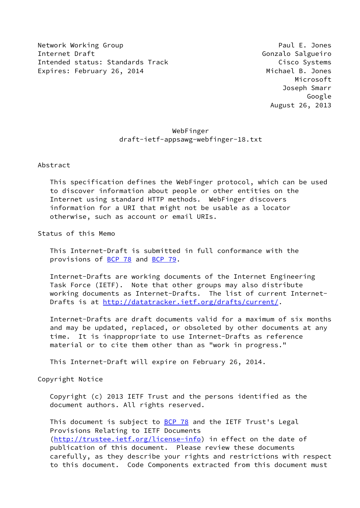Network Working Group **Paul E. Jones** Paul E. Jones Internet Draft Gonzalo Salgueiro Intended status: Standards Track Cisco Systems Expires: February 26, 2014 **Michael B. Jones** 

 Microsoft Joseph Smarr Google August 26, 2013

# WebFinger draft-ietf-appsawg-webfinger-18.txt

Abstract

 This specification defines the WebFinger protocol, which can be used to discover information about people or other entities on the Internet using standard HTTP methods. WebFinger discovers information for a URI that might not be usable as a locator otherwise, such as account or email URIs.

Status of this Memo

 This Internet-Draft is submitted in full conformance with the provisions of [BCP 78](https://datatracker.ietf.org/doc/pdf/bcp78) and [BCP 79](https://datatracker.ietf.org/doc/pdf/bcp79).

 Internet-Drafts are working documents of the Internet Engineering Task Force (IETF). Note that other groups may also distribute working documents as Internet-Drafts. The list of current Internet- Drafts is at<http://datatracker.ietf.org/drafts/current/>.

 Internet-Drafts are draft documents valid for a maximum of six months and may be updated, replaced, or obsoleted by other documents at any time. It is inappropriate to use Internet-Drafts as reference material or to cite them other than as "work in progress."

This Internet-Draft will expire on February 26, 2014.

Copyright Notice

 Copyright (c) 2013 IETF Trust and the persons identified as the document authors. All rights reserved.

This document is subject to **[BCP 78](https://datatracker.ietf.org/doc/pdf/bcp78)** and the IETF Trust's Legal Provisions Relating to IETF Documents [\(http://trustee.ietf.org/license-info](http://trustee.ietf.org/license-info)) in effect on the date of publication of this document. Please review these documents carefully, as they describe your rights and restrictions with respect to this document. Code Components extracted from this document must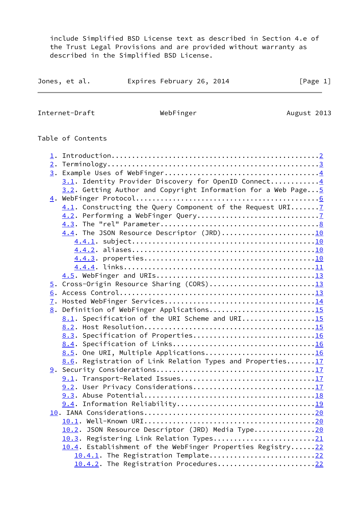include Simplified BSD License text as described in Section 4.e of the Trust Legal Provisions and are provided without warranty as described in the Simplified BSD License.

| Jones, et al. | Expires February 26, 2014 |  | [Page 1] |  |
|---------------|---------------------------|--|----------|--|
|               |                           |  |          |  |

<span id="page-1-0"></span>Internet-Draft WebFinger Metal WebFinger August 2013

# Table of Contents

| 3.1. Identity Provider Discovery for OpenID Connect4           |  |
|----------------------------------------------------------------|--|
| 3.2. Getting Author and Copyright Information for a Web Page 5 |  |
|                                                                |  |
| 4.1. Constructing the Query Component of the Request URI 7     |  |
|                                                                |  |
|                                                                |  |
| 4.4. The JSON Resource Descriptor (JRD)10                      |  |
|                                                                |  |
|                                                                |  |
|                                                                |  |
|                                                                |  |
|                                                                |  |
| 5. Cross-Origin Resource Sharing (CORS)13                      |  |
|                                                                |  |
| 7.                                                             |  |
| 8. Definition of WebFinger Applications15                      |  |
| 8.1. Specification of the URI Scheme and URI15                 |  |
|                                                                |  |
| 8.3. Specification of Properties16                             |  |
|                                                                |  |
| 8.5. One URI, Multiple Applications16                          |  |
| 8.6. Registration of Link Relation Types and Properties17      |  |
|                                                                |  |
|                                                                |  |
| 9.2. User Privacy Considerations17                             |  |
|                                                                |  |
|                                                                |  |
|                                                                |  |
|                                                                |  |
| 10.2. JSON Resource Descriptor (JRD) Media Type20              |  |
| 10.3. Registering Link Relation Types21                        |  |
| 10.4. Establishment of the WebFinger Properties Registry22     |  |
| 10.4.1. The Registration Template22                            |  |
| 10.4.2. The Registration Procedures22                          |  |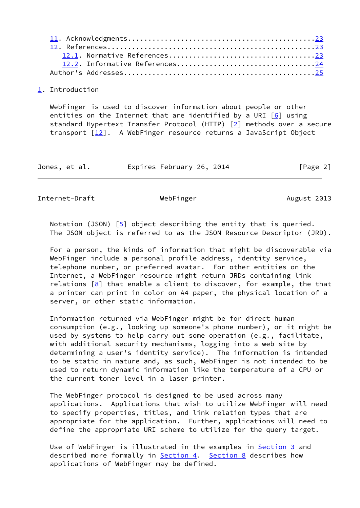#### <span id="page-2-0"></span>[1](#page-2-0). Introduction

 WebFinger is used to discover information about people or other entities on the Internet that are identified by a URI  $\lceil 6 \rceil$  using standard Hypertext Transfer Protocol (HTTP) [\[2](#page-27-4)] methods over a secure transport  $[12]$  $[12]$ . A WebFinger resource returns a JavaScript Object

Jones, et al. Expires February 26, 2014 [Page 2]

<span id="page-2-1"></span>Internet-Draft WebFinger Metal WebFinger August 2013

Notation (JSON)  $[5]$  $[5]$  object describing the entity that is queried. The JSON object is referred to as the JSON Resource Descriptor (JRD).

 For a person, the kinds of information that might be discoverable via WebFinger include a personal profile address, identity service, telephone number, or preferred avatar. For other entities on the Internet, a WebFinger resource might return JRDs containing link relations  $[8]$  $[8]$  that enable a client to discover, for example, the that a printer can print in color on A4 paper, the physical location of a server, or other static information.

 Information returned via WebFinger might be for direct human consumption (e.g., looking up someone's phone number), or it might be used by systems to help carry out some operation (e.g., facilitate, with additional security mechanisms, logging into a web site by determining a user's identity service). The information is intended to be static in nature and, as such, WebFinger is not intended to be used to return dynamic information like the temperature of a CPU or the current toner level in a laser printer.

 The WebFinger protocol is designed to be used across many applications. Applications that wish to utilize WebFinger will need to specify properties, titles, and link relation types that are appropriate for the application. Further, applications will need to define the appropriate URI scheme to utilize for the query target.

Use of WebFinger is illustrated in the examples in [Section 3](#page-3-1) and described more formally in **[Section 4.](#page-6-0)** [Section 8](#page-16-0) describes how applications of WebFinger may be defined.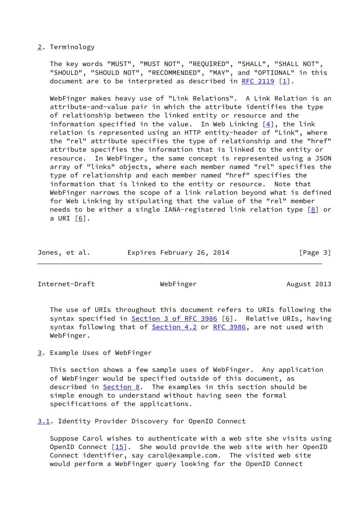# <span id="page-3-0"></span>[2](#page-3-0). Terminology

 The key words "MUST", "MUST NOT", "REQUIRED", "SHALL", "SHALL NOT", "SHOULD", "SHOULD NOT", "RECOMMENDED", "MAY", and "OPTIONAL" in this document are to be interpreted as described in [RFC 2119](https://datatracker.ietf.org/doc/pdf/rfc2119) [\[1](#page-27-7)].

 WebFinger makes heavy use of "Link Relations". A Link Relation is an attribute-and-value pair in which the attribute identifies the type of relationship between the linked entity or resource and the information specified in the value. In Web Linking  $[4]$  $[4]$ , the link relation is represented using an HTTP entity-header of "Link", where the "rel" attribute specifies the type of relationship and the "href" attribute specifies the information that is linked to the entity or resource. In WebFinger, the same concept is represented using a JSON array of "links" objects, where each member named "rel" specifies the type of relationship and each member named "href" specifies the information that is linked to the entity or resource. Note that WebFinger narrows the scope of a link relation beyond what is defined for Web Linking by stipulating that the value of the "rel" member needs to be either a single IANA-registered link relation type  $\boxed{8}$  or a URI  $\lceil 6 \rceil$ .

| Jones, et al. | Expires February 26, 2014 |  | [Page 3] |
|---------------|---------------------------|--|----------|
|               |                           |  |          |

<span id="page-3-2"></span>Internet-Draft WebFinger Methods August 2013

 The use of URIs throughout this document refers to URIs following the syntax specified in **Section 3 of RFC 3986** [[6\]](#page-27-3). Relative URIs, having syntax following that of [Section 4.2](#page-7-2) or [RFC 3986](https://datatracker.ietf.org/doc/pdf/rfc3986), are not used with WebFinger.

<span id="page-3-1"></span>[3](#page-3-1). Example Uses of WebFinger

 This section shows a few sample uses of WebFinger. Any application of WebFinger would be specified outside of this document, as described in  $Section 8$ . The examples in this section should be simple enough to understand without having seen the formal specifications of the applications.

<span id="page-3-3"></span>[3.1](#page-3-3). Identity Provider Discovery for OpenID Connect

 Suppose Carol wishes to authenticate with a web site she visits using OpenID Connect [\[15](#page-28-3)]. She would provide the web site with her OpenID Connect identifier, say carol@example.com. The visited web site would perform a WebFinger query looking for the OpenID Connect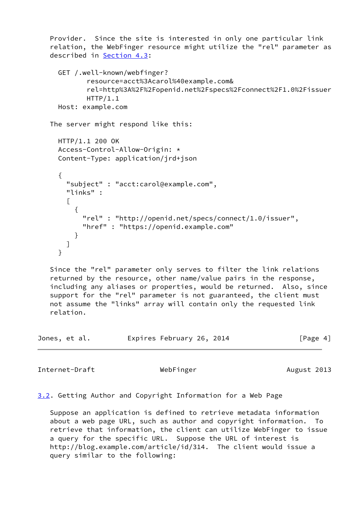```
 Provider. Since the site is interested in only one particular link
    relation, the WebFinger resource might utilize the "rel" parameter as
   described in Section 4.3:
     GET /.well-known/webfinger?
             resource=acct%3Acarol%40example.com&
             rel=http%3A%2F%2Fopenid.net%2Fspecs%2Fconnect%2F1.0%2Fissuer
            HTTP/1.1 Host: example.com
   The server might respond like this:
     HTTP/1.1 200 OK
     Access-Control-Allow-Origin: *
     Content-Type: application/jrd+json
      {
        "subject" : "acct:carol@example.com",
        "links" :
       \lceil {
            "rel" : "http://openid.net/specs/connect/1.0/issuer",
            "href" : "https://openid.example.com"
          }
       ]
      }
   Since the "rel" parameter only serves to filter the link relations
    returned by the resource, other name/value pairs in the response,
    including any aliases or properties, would be returned. Also, since
    support for the "rel" parameter is not guaranteed, the client must
   not assume the "links" array will contain only the requested link
    relation.
Jones, et al. Expires February 26, 2014 [Page 4]
```
<span id="page-4-1"></span>Internet-Draft WebFinger Methods August 2013

<span id="page-4-0"></span>[3.2](#page-4-0). Getting Author and Copyright Information for a Web Page

 Suppose an application is defined to retrieve metadata information about a web page URL, such as author and copyright information. To retrieve that information, the client can utilize WebFinger to issue a query for the specific URL. Suppose the URL of interest is http://blog.example.com/article/id/314. The client would issue a query similar to the following: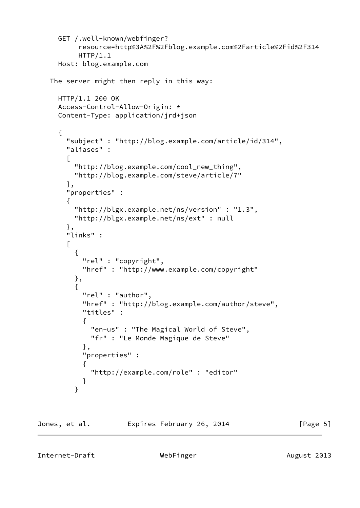```
 GET /.well-known/webfinger?
           resource=http%3A%2F%2Fblog.example.com%2Farticle%2Fid%2F314
          HTTP/1.1
     Host: blog.example.com
   The server might then reply in this way:
     HTTP/1.1 200 OK
     Access-Control-Allow-Origin: *
     Content-Type: application/jrd+json
     {
        "subject" : "http://blog.example.com/article/id/314",
        "aliases" :
       \Gamma "http://blog.example.com/cool_new_thing",
          "http://blog.example.com/steve/article/7"
       ],
        "properties" :
        {
          "http://blgx.example.net/ns/version" : "1.3",
         "http://blgx.example.net/ns/ext" : null
       },
        "links" :
       \Gamma {
           "rel" : "copyright",
           "href" : "http://www.example.com/copyright"
         },
\{ "rel" : "author",
            "href" : "http://blog.example.com/author/steve",
            "titles" :
\{ "en-us" : "The Magical World of Steve",
             "fr" : "Le Monde Magique de Steve"
            },
            "properties" :
\{ "http://example.com/role" : "editor"
 }
 }
```
<span id="page-5-0"></span>

Jones, et al. **Expires February 26, 2014** [Page 5]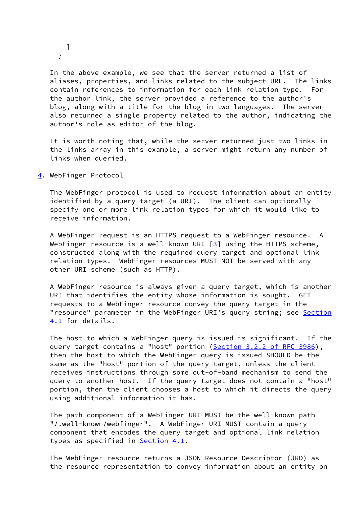] }

 In the above example, we see that the server returned a list of aliases, properties, and links related to the subject URL. The links contain references to information for each link relation type. For the author link, the server provided a reference to the author's blog, along with a title for the blog in two languages. The server also returned a single property related to the author, indicating the author's role as editor of the blog.

 It is worth noting that, while the server returned just two links in the links array in this example, a server might return any number of links when queried.

<span id="page-6-0"></span>[4](#page-6-0). WebFinger Protocol

 The WebFinger protocol is used to request information about an entity identified by a query target (a URI). The client can optionally specify one or more link relation types for which it would like to receive information.

 A WebFinger request is an HTTPS request to a WebFinger resource. A WebFinger resource is a well-known URI  $[3]$  $[3]$  using the HTTPS scheme, constructed along with the required query target and optional link relation types. WebFinger resources MUST NOT be served with any other URI scheme (such as HTTP).

 A WebFinger resource is always given a query target, which is another URI that identifies the entity whose information is sought. GET requests to a WebFinger resource convey the query target in the "resource" parameter in the WebFinger URI's query string; see [Section](#page-7-0) [4.1](#page-7-0) for details.

 The host to which a WebFinger query is issued is significant. If the query target contains a "host" portion (Section [3.2.2 of RFC 3986](https://datatracker.ietf.org/doc/pdf/rfc3986#section-3.2.2)), then the host to which the WebFinger query is issued SHOULD be the same as the "host" portion of the query target, unless the client receives instructions through some out-of-band mechanism to send the query to another host. If the query target does not contain a "host" portion, then the client chooses a host to which it directs the query using additional information it has.

 The path component of a WebFinger URI MUST be the well-known path "/.well-known/webfinger". A WebFinger URI MUST contain a query component that encodes the query target and optional link relation types as specified in **Section 4.1**.

 The WebFinger resource returns a JSON Resource Descriptor (JRD) as the resource representation to convey information about an entity on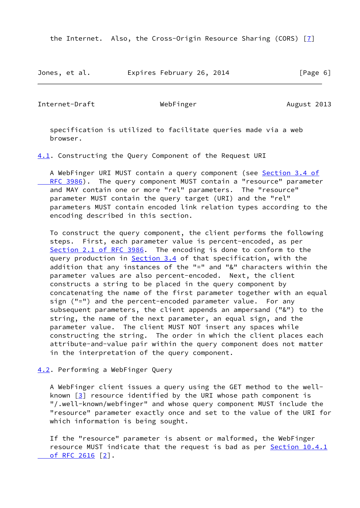the Internet. Also, the Cross-Origin Resource Sharing (CORS) [[7\]](#page-27-10)

Jones, et al. Expires February 26, 2014 [Page 6]

<span id="page-7-1"></span>Internet-Draft WebFinger Metal WebFinger August 2013

 specification is utilized to facilitate queries made via a web browser.

<span id="page-7-0"></span>[4.1](#page-7-0). Constructing the Query Component of the Request URI

A WebFinger URI MUST contain a query component (see [Section](https://datatracker.ietf.org/doc/pdf/rfc3986#section-3.4) 3.4 of RFC 3986). The query component MUST contain a "resource" parameter and MAY contain one or more "rel" parameters. The "resource" parameter MUST contain the query target (URI) and the "rel" parameters MUST contain encoded link relation types according to the encoding described in this section.

 To construct the query component, the client performs the following steps. First, each parameter value is percent-encoded, as per Section [2.1 of RFC 3986](https://datatracker.ietf.org/doc/pdf/rfc3986#section-2.1). The encoding is done to conform to the query production in Section 3.4 of that specification, with the addition that any instances of the "=" and "&" characters within the parameter values are also percent-encoded. Next, the client constructs a string to be placed in the query component by concatenating the name of the first parameter together with an equal sign ("=") and the percent-encoded parameter value. For any subsequent parameters, the client appends an ampersand ("&") to the string, the name of the next parameter, an equal sign, and the parameter value. The client MUST NOT insert any spaces while constructing the string. The order in which the client places each attribute-and-value pair within the query component does not matter in the interpretation of the query component.

<span id="page-7-2"></span>[4.2](#page-7-2). Performing a WebFinger Query

 A WebFinger client issues a query using the GET method to the well known  $[3]$  $[3]$  resource identified by the URI whose path component is "/.well-known/webfinger" and whose query component MUST include the "resource" parameter exactly once and set to the value of the URI for which information is being sought.

 If the "resource" parameter is absent or malformed, the WebFinger resource MUST indicate that the request is bad as per [Section](https://datatracker.ietf.org/doc/pdf/rfc2616#section-10.4.1) 10.4.1  [of RFC 2616](https://datatracker.ietf.org/doc/pdf/rfc2616#section-10.4.1) [\[2](#page-27-4)].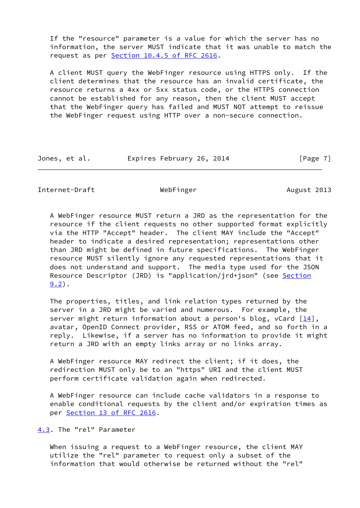If the "resource" parameter is a value for which the server has no information, the server MUST indicate that it was unable to match the request as per Section [10.4.5 of RFC 2616.](https://datatracker.ietf.org/doc/pdf/rfc2616#section-10.4.5)

 A client MUST query the WebFinger resource using HTTPS only. If the client determines that the resource has an invalid certificate, the resource returns a 4xx or 5xx status code, or the HTTPS connection cannot be established for any reason, then the client MUST accept that the WebFinger query has failed and MUST NOT attempt to reissue the WebFinger request using HTTP over a non-secure connection.

|  | Jones, et al. | Expires February 26, 2014 | [Page 7] |
|--|---------------|---------------------------|----------|
|--|---------------|---------------------------|----------|

<span id="page-8-1"></span>Internet-Draft **WebFinger** WebFinger August 2013

 A WebFinger resource MUST return a JRD as the representation for the resource if the client requests no other supported format explicitly via the HTTP "Accept" header. The client MAY include the "Accept" header to indicate a desired representation; representations other than JRD might be defined in future specifications. The WebFinger resource MUST silently ignore any requested representations that it does not understand and support. The media type used for the JSON Resource Descriptor (JRD) is "application/jrd+json" (see [Section](#page-20-0)  $9.2$ .

 The properties, titles, and link relation types returned by the server in a JRD might be varied and numerous. For example, the server might return information about a person's blog, vCard  $[14]$ , avatar, OpenID Connect provider, RSS or ATOM feed, and so forth in a reply. Likewise, if a server has no information to provide it might return a JRD with an empty links array or no links array.

 A WebFinger resource MAY redirect the client; if it does, the redirection MUST only be to an "https" URI and the client MUST perform certificate validation again when redirected.

 A WebFinger resource can include cache validators in a response to enable conditional requests by the client and/or expiration times as per Section [13 of RFC 2616](https://datatracker.ietf.org/doc/pdf/rfc2616#section-13).

<span id="page-8-0"></span>[4.3](#page-8-0). The "rel" Parameter

 When issuing a request to a WebFinger resource, the client MAY utilize the "rel" parameter to request only a subset of the information that would otherwise be returned without the "rel"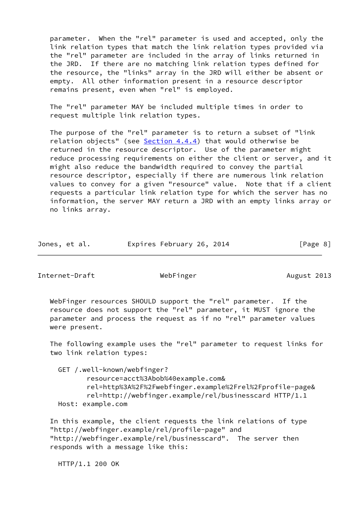parameter. When the "rel" parameter is used and accepted, only the link relation types that match the link relation types provided via the "rel" parameter are included in the array of links returned in the JRD. If there are no matching link relation types defined for the resource, the "links" array in the JRD will either be absent or empty. All other information present in a resource descriptor remains present, even when "rel" is employed.

 The "rel" parameter MAY be included multiple times in order to request multiple link relation types.

 The purpose of the "rel" parameter is to return a subset of "link relation objects" (see  $Section 4.4.4$ ) that would otherwise be returned in the resource descriptor. Use of the parameter might reduce processing requirements on either the client or server, and it might also reduce the bandwidth required to convey the partial resource descriptor, especially if there are numerous link relation values to convey for a given "resource" value. Note that if a client requests a particular link relation type for which the server has no information, the server MAY return a JRD with an empty links array or no links array.

| Jones, et al. | Expires February 26, 2014 |  |  |  | [Page 8] |  |
|---------------|---------------------------|--|--|--|----------|--|
|---------------|---------------------------|--|--|--|----------|--|

Internet-Draft WebFinger Methods Methods and WebFinger August 2013

 WebFinger resources SHOULD support the "rel" parameter. If the resource does not support the "rel" parameter, it MUST ignore the parameter and process the request as if no "rel" parameter values were present.

 The following example uses the "rel" parameter to request links for two link relation types:

 GET /.well-known/webfinger? resource=acct%3Abob%40example.com& rel=http%3A%2F%2Fwebfinger.example%2Frel%2Fprofile-page& rel=http://webfinger.example/rel/businesscard HTTP/1.1 Host: example.com

 In this example, the client requests the link relations of type "http://webfinger.example/rel/profile-page" and "http://webfinger.example/rel/businesscard". The server then responds with a message like this:

HTTP/1.1 200 OK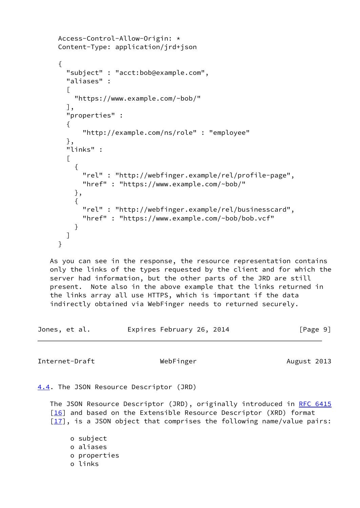```
 Access-Control-Allow-Origin: *
     Content-Type: application/jrd+json
     {
       "subject" : "acct:bob@example.com",
       "aliases" :
\Box "https://www.example.com/~bob/"
       ],
       "properties" :
       {
           "http://example.com/ns/role" : "employee"
       },
       "links" :
      \lceil {
           "rel" : "http://webfinger.example/rel/profile-page",
           "href" : "https://www.example.com/~bob/"
         },
\{ "rel" : "http://webfinger.example/rel/businesscard",
           "href" : "https://www.example.com/~bob/bob.vcf"
 }
       ]
     }
   As you can see in the response, the resource representation contains
   only the links of the types requested by the client and for which the
   server had information, but the other parts of the JRD are still
   present. Note also in the above example that the links returned in
   the links array all use HTTPS, which is important if the data
   indirectly obtained via WebFinger needs to returned securely.
Jones, et al. Expires February 26, 2014 [Page 9]
Internet-Draft WebFinger Metal WebFinger August 2013
4.4. The JSON Resource Descriptor (JRD)
   RFC 6415
   [16] and based on the Extensible Resource Descriptor (XRD) format
   [17], is a JSON object that comprises the following name/value pairs:
        o subject
```
<span id="page-10-1"></span><span id="page-10-0"></span> o aliases o properties o links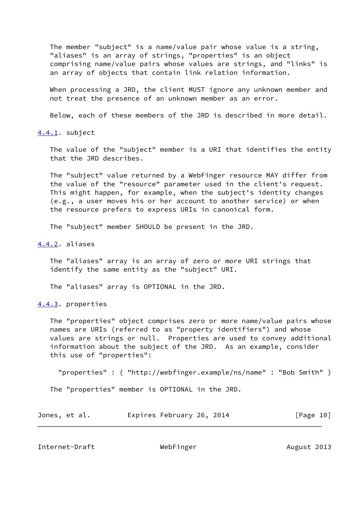The member "subject" is a name/value pair whose value is a string, "aliases" is an array of strings, "properties" is an object comprising name/value pairs whose values are strings, and "links" is an array of objects that contain link relation information.

When processing a JRD, the client MUST ignore any unknown member and not treat the presence of an unknown member as an error.

Below, each of these members of the JRD is described in more detail.

<span id="page-11-0"></span>[4.4.1](#page-11-0). subject

 The value of the "subject" member is a URI that identifies the entity that the JRD describes.

 The "subject" value returned by a WebFinger resource MAY differ from the value of the "resource" parameter used in the client's request. This might happen, for example, when the subject's identity changes (e.g., a user moves his or her account to another service) or when the resource prefers to express URIs in canonical form.

The "subject" member SHOULD be present in the JRD.

<span id="page-11-1"></span>[4.4.2](#page-11-1). aliases

 The "aliases" array is an array of zero or more URI strings that identify the same entity as the "subject" URI.

The "aliases" array is OPTIONAL in the JRD.

<span id="page-11-2"></span>[4.4.3](#page-11-2). properties

 The "properties" object comprises zero or more name/value pairs whose names are URIs (referred to as "property identifiers") and whose values are strings or null. Properties are used to convey additional information about the subject of the JRD. As an example, consider this use of "properties":

"properties" : { "http://webfinger.example/ns/name" : "Bob Smith" }

The "properties" member is OPTIONAL in the JRD.

|  | Jones, et al. | Expires February 26, 2014 | [Page 10] |
|--|---------------|---------------------------|-----------|
|--|---------------|---------------------------|-----------|

<span id="page-11-3"></span>Internet-Draft WebFinger Methods August 2013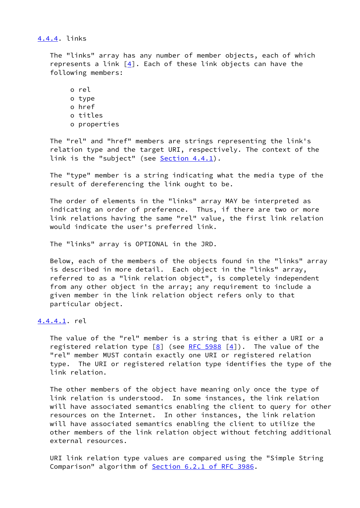# <span id="page-12-0"></span>[4.4.4](#page-12-0). links

 The "links" array has any number of member objects, each of which represents a link  $[4]$  $[4]$ . Each of these link objects can have the following members:

 o rel o type o href o titles o properties

 The "rel" and "href" members are strings representing the link's relation type and the target URI, respectively. The context of the link is the "subject" (see  $Section 4.4.1$ ).

 The "type" member is a string indicating what the media type of the result of dereferencing the link ought to be.

 The order of elements in the "links" array MAY be interpreted as indicating an order of preference. Thus, if there are two or more link relations having the same "rel" value, the first link relation would indicate the user's preferred link.

The "links" array is OPTIONAL in the JRD.

 Below, each of the members of the objects found in the "links" array is described in more detail. Each object in the "links" array, referred to as a "link relation object", is completely independent from any other object in the array; any requirement to include a given member in the link relation object refers only to that particular object.

# <span id="page-12-1"></span>[4.4.4.1](#page-12-1). rel

 The value of the "rel" member is a string that is either a URI or a registered relation type  $[8]$  (see [RFC 5988](https://datatracker.ietf.org/doc/pdf/rfc5988)  $[4]$  $[4]$ ). The value of the "rel" member MUST contain exactly one URI or registered relation type. The URI or registered relation type identifies the type of the link relation.

 The other members of the object have meaning only once the type of link relation is understood. In some instances, the link relation will have associated semantics enabling the client to query for other resources on the Internet. In other instances, the link relation will have associated semantics enabling the client to utilize the other members of the link relation object without fetching additional external resources.

 URI link relation type values are compared using the "Simple String Comparison" algorithm of Section [6.2.1 of RFC 3986](https://datatracker.ietf.org/doc/pdf/rfc3986#section-6.2.1).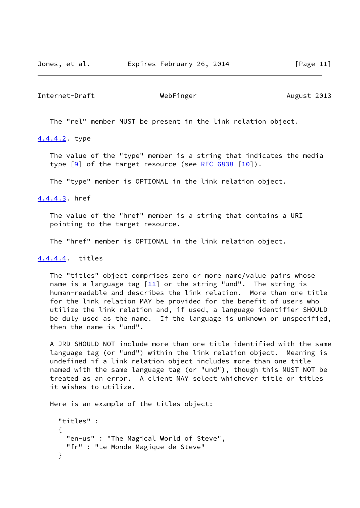# Internet-Draft WebFinger Methods Nugust 2013

The "rel" member MUST be present in the link relation object.

# <span id="page-13-0"></span>[4.4.4.2](#page-13-0). type

 The value of the "type" member is a string that indicates the media type  $[9]$  of the target resource (see [RFC 6838](https://datatracker.ietf.org/doc/pdf/rfc6838)  $[10]$  $[10]$ ).

The "type" member is OPTIONAL in the link relation object.

#### <span id="page-13-1"></span>[4.4.4.3](#page-13-1). href

 The value of the "href" member is a string that contains a URI pointing to the target resource.

The "href" member is OPTIONAL in the link relation object.

## <span id="page-13-2"></span>[4.4.4.4](#page-13-2). titles

 The "titles" object comprises zero or more name/value pairs whose name is a language tag  $[11]$  $[11]$  or the string "und". The string is human-readable and describes the link relation. More than one title for the link relation MAY be provided for the benefit of users who utilize the link relation and, if used, a language identifier SHOULD be duly used as the name. If the language is unknown or unspecified, then the name is "und".

 A JRD SHOULD NOT include more than one title identified with the same language tag (or "und") within the link relation object. Meaning is undefined if a link relation object includes more than one title named with the same language tag (or "und"), though this MUST NOT be treated as an error. A client MAY select whichever title or titles it wishes to utilize.

Here is an example of the titles object:

```
 "titles" :
\{ "en-us" : "The Magical World of Steve",
       "fr" : "Le Monde Magique de Steve"
     }
```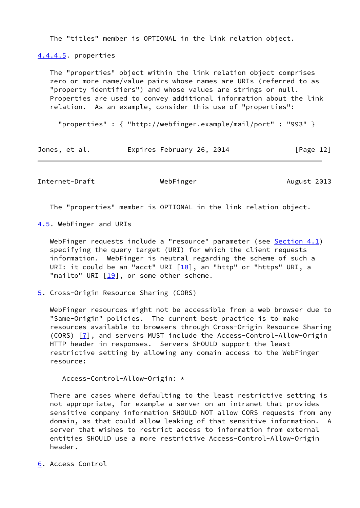The "titles" member is OPTIONAL in the link relation object.

<span id="page-14-4"></span>[4.4.4.5](#page-14-4). properties

 The "properties" object within the link relation object comprises zero or more name/value pairs whose names are URIs (referred to as "property identifiers") and whose values are strings or null. Properties are used to convey additional information about the link relation. As an example, consider this use of "properties":

"properties" : { "http://webfinger.example/mail/port" : "993" }

| Jones, et al. |  | Expires February 26, 2014 |  | [Page 12] |  |
|---------------|--|---------------------------|--|-----------|--|
|               |  |                           |  |           |  |

<span id="page-14-1"></span>Internet-Draft WebFinger Methods Nugust 2013

The "properties" member is OPTIONAL in the link relation object.

<span id="page-14-0"></span>[4.5](#page-14-0). WebFinger and URIs

WebFinger requests include a "resource" parameter (see  $Section 4.1$ ) specifying the query target (URI) for which the client requests information. WebFinger is neutral regarding the scheme of such a URI: it could be an "acct" URI  $[18]$  $[18]$ , an "http" or "https" URI, a "mailto" URI  $[19]$ , or some other scheme.

<span id="page-14-2"></span>[5](#page-14-2). Cross-Origin Resource Sharing (CORS)

 WebFinger resources might not be accessible from a web browser due to "Same-Origin" policies. The current best practice is to make resources available to browsers through Cross-Origin Resource Sharing (CORS) [\[7](#page-27-10)], and servers MUST include the Access-Control-Allow-Origin HTTP header in responses. Servers SHOULD support the least restrictive setting by allowing any domain access to the WebFinger resource:

Access-Control-Allow-Origin: \*

 There are cases where defaulting to the least restrictive setting is not appropriate, for example a server on an intranet that provides sensitive company information SHOULD NOT allow CORS requests from any domain, as that could allow leaking of that sensitive information. A server that wishes to restrict access to information from external entities SHOULD use a more restrictive Access-Control-Allow-Origin header.

<span id="page-14-3"></span>[6](#page-14-3). Access Control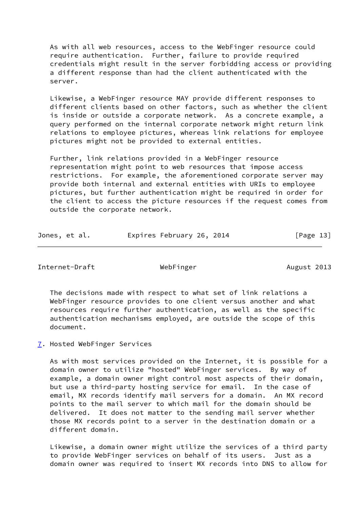As with all web resources, access to the WebFinger resource could require authentication. Further, failure to provide required credentials might result in the server forbidding access or providing a different response than had the client authenticated with the server.

 Likewise, a WebFinger resource MAY provide different responses to different clients based on other factors, such as whether the client is inside or outside a corporate network. As a concrete example, a query performed on the internal corporate network might return link relations to employee pictures, whereas link relations for employee pictures might not be provided to external entities.

 Further, link relations provided in a WebFinger resource representation might point to web resources that impose access restrictions. For example, the aforementioned corporate server may provide both internal and external entities with URIs to employee pictures, but further authentication might be required in order for the client to access the picture resources if the request comes from outside the corporate network.

| Jones, et al. |  |  |  | Expires February 26, 2014 |  |  | [Page 13] |  |
|---------------|--|--|--|---------------------------|--|--|-----------|--|
|---------------|--|--|--|---------------------------|--|--|-----------|--|

<span id="page-15-1"></span>Internet-Draft WebFinger Methods Nugust 2013

 The decisions made with respect to what set of link relations a WebFinger resource provides to one client versus another and what resources require further authentication, as well as the specific authentication mechanisms employed, are outside the scope of this document.

<span id="page-15-0"></span>[7](#page-15-0). Hosted WebFinger Services

 As with most services provided on the Internet, it is possible for a domain owner to utilize "hosted" WebFinger services. By way of example, a domain owner might control most aspects of their domain, but use a third-party hosting service for email. In the case of email, MX records identify mail servers for a domain. An MX record points to the mail server to which mail for the domain should be delivered. It does not matter to the sending mail server whether those MX records point to a server in the destination domain or a different domain.

 Likewise, a domain owner might utilize the services of a third party to provide WebFinger services on behalf of its users. Just as a domain owner was required to insert MX records into DNS to allow for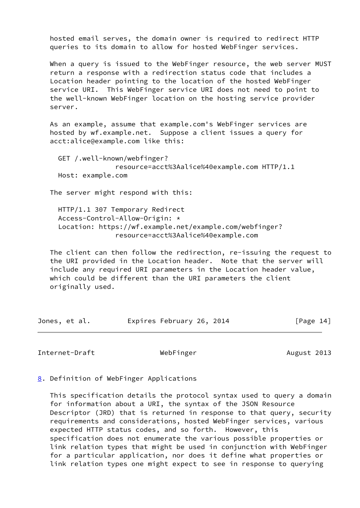hosted email serves, the domain owner is required to redirect HTTP queries to its domain to allow for hosted WebFinger services.

 When a query is issued to the WebFinger resource, the web server MUST return a response with a redirection status code that includes a Location header pointing to the location of the hosted WebFinger service URI. This WebFinger service URI does not need to point to the well-known WebFinger location on the hosting service provider server.

 As an example, assume that example.com's WebFinger services are hosted by wf.example.net. Suppose a client issues a query for acct:alice@example.com like this:

 GET /.well-known/webfinger? resource=acct%3Aalice%40example.com HTTP/1.1 Host: example.com

The server might respond with this:

 HTTP/1.1 307 Temporary Redirect Access-Control-Allow-Origin: \* Location: https://wf.example.net/example.com/webfinger? resource=acct%3Aalice%40example.com

 The client can then follow the redirection, re-issuing the request to the URI provided in the Location header. Note that the server will include any required URI parameters in the Location header value, which could be different than the URI parameters the client originally used.

| Jones, et al. | Expires February 26, 2014 |  | [Page 14] |
|---------------|---------------------------|--|-----------|
|---------------|---------------------------|--|-----------|

<span id="page-16-1"></span>Internet-Draft WebFinger Methods Nugust 2013

<span id="page-16-0"></span>[8](#page-16-0). Definition of WebFinger Applications

 This specification details the protocol syntax used to query a domain for information about a URI, the syntax of the JSON Resource Descriptor (JRD) that is returned in response to that query, security requirements and considerations, hosted WebFinger services, various expected HTTP status codes, and so forth. However, this specification does not enumerate the various possible properties or link relation types that might be used in conjunction with WebFinger for a particular application, nor does it define what properties or link relation types one might expect to see in response to querying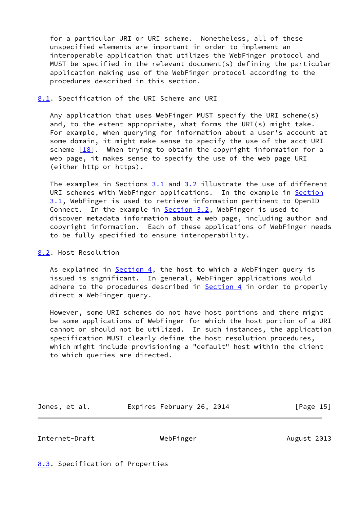for a particular URI or URI scheme. Nonetheless, all of these unspecified elements are important in order to implement an interoperable application that utilizes the WebFinger protocol and MUST be specified in the relevant document(s) defining the particular application making use of the WebFinger protocol according to the procedures described in this section.

# <span id="page-17-0"></span>[8.1](#page-17-0). Specification of the URI Scheme and URI

 Any application that uses WebFinger MUST specify the URI scheme(s) and, to the extent appropriate, what forms the URI(s) might take. For example, when querying for information about a user's account at some domain, it might make sense to specify the use of the acct URI scheme  $[18]$  $[18]$ . When trying to obtain the copyright information for a web page, it makes sense to specify the use of the web page URI (either http or https).

The examples in Sections [3.1](#page-3-3) and [3.2](#page-4-0) illustrate the use of different URI schemes with WebFinger applications. In the example in [Section](#page-3-3) [3.1](#page-3-3), WebFinger is used to retrieve information pertinent to OpenID Connect. In the example in **Section 3.2**, WebFinger is used to discover metadata information about a web page, including author and copyright information. Each of these applications of WebFinger needs to be fully specified to ensure interoperability.

# <span id="page-17-1"></span>[8.2](#page-17-1). Host Resolution

As explained in  $Section 4$ , the host to which a WebFinger query is issued is significant. In general, WebFinger applications would adhere to the procedures described in [Section 4](#page-6-0) in order to properly direct a WebFinger query.

 However, some URI schemes do not have host portions and there might be some applications of WebFinger for which the host portion of a URI cannot or should not be utilized. In such instances, the application specification MUST clearly define the host resolution procedures, which might include provisioning a "default" host within the client to which queries are directed.

Jones, et al. **Expires February 26, 2014** [Page 15]

<span id="page-17-3"></span>Internet-Draft WebFinger Methods August 2013

<span id="page-17-2"></span>[8.3](#page-17-2). Specification of Properties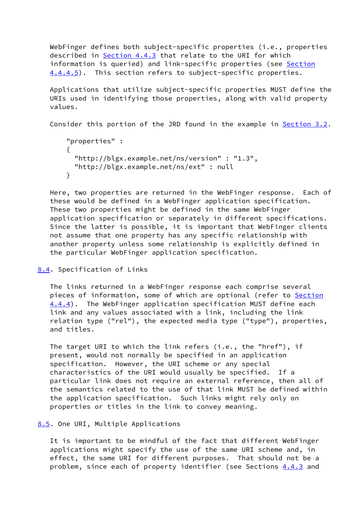WebFinger defines both subject-specific properties (i.e., properties described in [Section 4.4.3](#page-11-2) that relate to the URI for which information is queried) and link-specific properties (see [Section](#page-14-4) [4.4.4.5](#page-14-4)). This section refers to subject-specific properties.

 Applications that utilize subject-specific properties MUST define the URIs used in identifying those properties, along with valid property values.

Consider this portion of the JRD found in the example in [Section 3.2](#page-4-0).

```
 "properties" :
 {
   "http://blgx.example.net/ns/version" : "1.3",
   "http://blgx.example.net/ns/ext" : null
 }
```
 Here, two properties are returned in the WebFinger response. Each of these would be defined in a WebFinger application specification. These two properties might be defined in the same WebFinger application specification or separately in different specifications. Since the latter is possible, it is important that WebFinger clients not assume that one property has any specific relationship with another property unless some relationship is explicitly defined in the particular WebFinger application specification.

# <span id="page-18-0"></span>[8.4](#page-18-0). Specification of Links

 The links returned in a WebFinger response each comprise several pieces of information, some of which are optional (refer to [Section](#page-12-0) [4.4.4](#page-12-0)). The WebFinger application specification MUST define each link and any values associated with a link, including the link relation type ("rel"), the expected media type ("type"), properties, and titles.

 The target URI to which the link refers (i.e., the "href"), if present, would not normally be specified in an application specification. However, the URI scheme or any special characteristics of the URI would usually be specified. If a particular link does not require an external reference, then all of the semantics related to the use of that link MUST be defined within the application specification. Such links might rely only on properties or titles in the link to convey meaning.

### <span id="page-18-1"></span>[8.5](#page-18-1). One URI, Multiple Applications

 It is important to be mindful of the fact that different WebFinger applications might specify the use of the same URI scheme and, in effect, the same URI for different purposes. That should not be a problem, since each of property identifier (see Sections [4.4.3](#page-11-2) and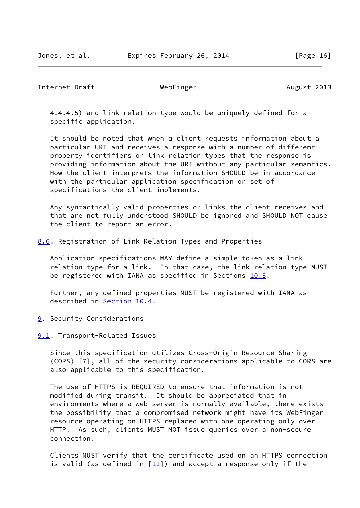<span id="page-19-1"></span>Internet-Draft WebFinger Methods August 2013

 4.4.4.5) and link relation type would be uniquely defined for a specific application.

 It should be noted that when a client requests information about a particular URI and receives a response with a number of different property identifiers or link relation types that the response is providing information about the URI without any particular semantics. How the client interprets the information SHOULD be in accordance with the particular application specification or set of specifications the client implements.

 Any syntactically valid properties or links the client receives and that are not fully understood SHOULD be ignored and SHOULD NOT cause the client to report an error.

<span id="page-19-0"></span>[8.6](#page-19-0). Registration of Link Relation Types and Properties

 Application specifications MAY define a simple token as a link relation type for a link. In that case, the link relation type MUST be registered with IANA as specified in Sections  $10.3$ .

 Further, any defined properties MUST be registered with IANA as described in [Section 10.4](#page-25-0).

<span id="page-19-2"></span>[9](#page-19-2). Security Considerations

<span id="page-19-3"></span>[9.1](#page-19-3). Transport-Related Issues

 Since this specification utilizes Cross-Origin Resource Sharing (CORS) [\[7](#page-27-10)], all of the security considerations applicable to CORS are also applicable to this specification.

 The use of HTTPS is REQUIRED to ensure that information is not modified during transit. It should be appreciated that in environments where a web server is normally available, there exists the possibility that a compromised network might have its WebFinger resource operating on HTTPS replaced with one operating only over HTTP. As such, clients MUST NOT issue queries over a non-secure connection.

 Clients MUST verify that the certificate used on an HTTPS connection is valid (as defined in  $[12]$ ) and accept a response only if the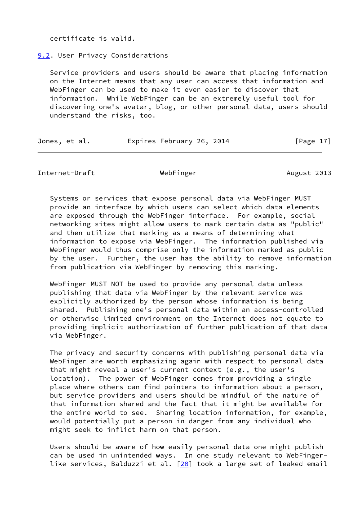certificate is valid.

<span id="page-20-0"></span>[9.2](#page-20-0). User Privacy Considerations

 Service providers and users should be aware that placing information on the Internet means that any user can access that information and WebFinger can be used to make it even easier to discover that information. While WebFinger can be an extremely useful tool for discovering one's avatar, blog, or other personal data, users should understand the risks, too.

| Jones, et al. | Expires February 26, 2014 |  | [Page 17] |
|---------------|---------------------------|--|-----------|
|---------------|---------------------------|--|-----------|

<span id="page-20-1"></span>Internet-Draft WebFinger Methods August 2013

 Systems or services that expose personal data via WebFinger MUST provide an interface by which users can select which data elements are exposed through the WebFinger interface. For example, social networking sites might allow users to mark certain data as "public" and then utilize that marking as a means of determining what information to expose via WebFinger. The information published via WebFinger would thus comprise only the information marked as public by the user. Further, the user has the ability to remove information from publication via WebFinger by removing this marking.

 WebFinger MUST NOT be used to provide any personal data unless publishing that data via WebFinger by the relevant service was explicitly authorized by the person whose information is being shared. Publishing one's personal data within an access-controlled or otherwise limited environment on the Internet does not equate to providing implicit authorization of further publication of that data via WebFinger.

 The privacy and security concerns with publishing personal data via WebFinger are worth emphasizing again with respect to personal data that might reveal a user's current context (e.g., the user's location). The power of WebFinger comes from providing a single place where others can find pointers to information about a person, but service providers and users should be mindful of the nature of that information shared and the fact that it might be available for the entire world to see. Sharing location information, for example, would potentially put a person in danger from any individual who might seek to inflict harm on that person.

 Users should be aware of how easily personal data one might publish can be used in unintended ways. In one study relevant to WebFinger- like services, Balduzzi et al. [\[20](#page-28-11)] took a large set of leaked email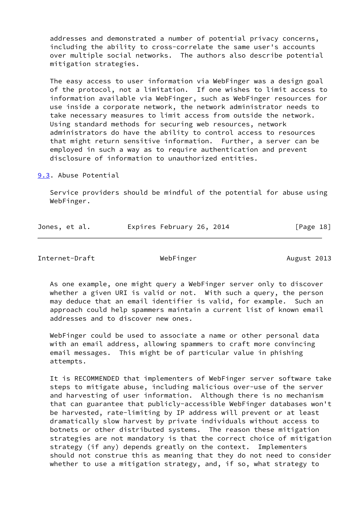addresses and demonstrated a number of potential privacy concerns, including the ability to cross-correlate the same user's accounts over multiple social networks. The authors also describe potential mitigation strategies.

 The easy access to user information via WebFinger was a design goal of the protocol, not a limitation. If one wishes to limit access to information available via WebFinger, such as WebFinger resources for use inside a corporate network, the network administrator needs to take necessary measures to limit access from outside the network. Using standard methods for securing web resources, network administrators do have the ability to control access to resources that might return sensitive information. Further, a server can be employed in such a way as to require authentication and prevent disclosure of information to unauthorized entities.

<span id="page-21-0"></span>[9.3](#page-21-0). Abuse Potential

 Service providers should be mindful of the potential for abuse using WebFinger.

| Jones, et al. | Expires February 26, 2014 |  | [Page 18] |
|---------------|---------------------------|--|-----------|
|               |                           |  |           |

<span id="page-21-1"></span>Internet-Draft WebFinger Methods August 2013

 As one example, one might query a WebFinger server only to discover whether a given URI is valid or not. With such a query, the person may deduce that an email identifier is valid, for example. Such an approach could help spammers maintain a current list of known email addresses and to discover new ones.

 WebFinger could be used to associate a name or other personal data with an email address, allowing spammers to craft more convincing email messages. This might be of particular value in phishing attempts.

 It is RECOMMENDED that implementers of WebFinger server software take steps to mitigate abuse, including malicious over-use of the server and harvesting of user information. Although there is no mechanism that can guarantee that publicly-accessible WebFinger databases won't be harvested, rate-limiting by IP address will prevent or at least dramatically slow harvest by private individuals without access to botnets or other distributed systems. The reason these mitigation strategies are not mandatory is that the correct choice of mitigation strategy (if any) depends greatly on the context. Implementers should not construe this as meaning that they do not need to consider whether to use a mitigation strategy, and, if so, what strategy to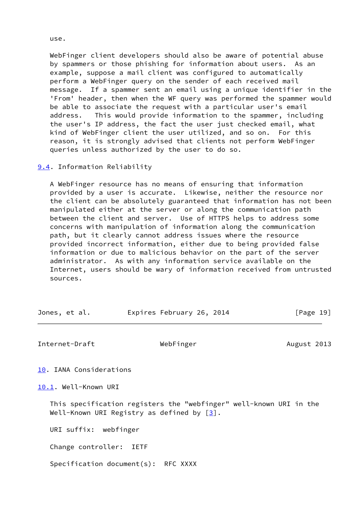WebFinger client developers should also be aware of potential abuse by spammers or those phishing for information about users. As an example, suppose a mail client was configured to automatically perform a WebFinger query on the sender of each received mail message. If a spammer sent an email using a unique identifier in the 'From' header, then when the WF query was performed the spammer would be able to associate the request with a particular user's email address. This would provide information to the spammer, including the user's IP address, the fact the user just checked email, what kind of WebFinger client the user utilized, and so on. For this reason, it is strongly advised that clients not perform WebFinger queries unless authorized by the user to do so.

<span id="page-22-0"></span>[9.4](#page-22-0). Information Reliability

 A WebFinger resource has no means of ensuring that information provided by a user is accurate. Likewise, neither the resource nor the client can be absolutely guaranteed that information has not been manipulated either at the server or along the communication path between the client and server. Use of HTTPS helps to address some concerns with manipulation of information along the communication path, but it clearly cannot address issues where the resource provided incorrect information, either due to being provided false information or due to malicious behavior on the part of the server administrator. As with any information service available on the Internet, users should be wary of information received from untrusted sources.

| Jones, et al. | Expires February 26, 2014 | [Page 19] |
|---------------|---------------------------|-----------|
|               |                           |           |

<span id="page-22-2"></span>Internet-Draft WebFinger Methods August 2013

<span id="page-22-1"></span>[10.](#page-22-1) IANA Considerations

<span id="page-22-3"></span>[10.1](#page-22-3). Well-Known URI

 This specification registers the "webfinger" well-known URI in the Well-Known URI Registry as defined by  $\lceil 3 \rceil$ .

URI suffix: webfinger

Change controller: IETF

Specification document(s): RFC XXXX

use.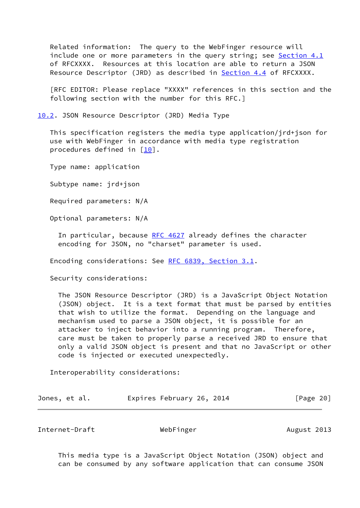Related information: The query to the WebFinger resource will include one or more parameters in the query string; see [Section 4.1](#page-7-0) of RFCXXXX. Resources at this location are able to return a JSON Resource Descriptor (JRD) as described in [Section 4.4](#page-10-0) of RFCXXXX.

 [RFC EDITOR: Please replace "XXXX" references in this section and the following section with the number for this RFC.]

<span id="page-23-0"></span>[10.2](#page-23-0). JSON Resource Descriptor (JRD) Media Type

 This specification registers the media type application/jrd+json for use with WebFinger in accordance with media type registration procedures defined in [[10\]](#page-28-7).

Type name: application

Subtype name: jrd+json

Required parameters: N/A

Optional parameters: N/A

In particular, because [RFC 4627](https://datatracker.ietf.org/doc/pdf/rfc4627) already defines the character encoding for JSON, no "charset" parameter is used.

Encoding considerations: See [RFC 6839, Section](https://datatracker.ietf.org/doc/pdf/rfc6839#section-3.1) 3.1.

Security considerations:

 The JSON Resource Descriptor (JRD) is a JavaScript Object Notation (JSON) object. It is a text format that must be parsed by entities that wish to utilize the format. Depending on the language and mechanism used to parse a JSON object, it is possible for an attacker to inject behavior into a running program. Therefore, care must be taken to properly parse a received JRD to ensure that only a valid JSON object is present and that no JavaScript or other code is injected or executed unexpectedly.

Interoperability considerations:

|  | Jones, et al. |  | Expires February 26, 2014 |  |  | [Page 20] |
|--|---------------|--|---------------------------|--|--|-----------|
|--|---------------|--|---------------------------|--|--|-----------|

<span id="page-23-1"></span>Internet-Draft WebFinger Methods August 2013

 This media type is a JavaScript Object Notation (JSON) object and can be consumed by any software application that can consume JSON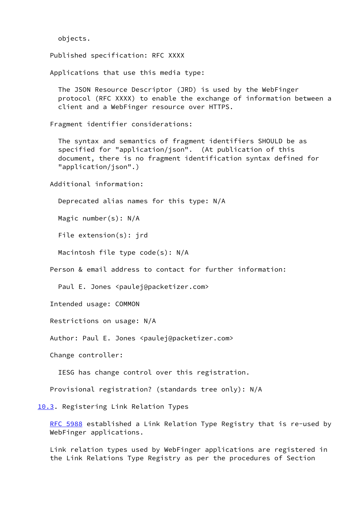objects.

Published specification: RFC XXXX

Applications that use this media type:

 The JSON Resource Descriptor (JRD) is used by the WebFinger protocol (RFC XXXX) to enable the exchange of information between a client and a WebFinger resource over HTTPS.

Fragment identifier considerations:

 The syntax and semantics of fragment identifiers SHOULD be as specified for "application/json". (At publication of this document, there is no fragment identification syntax defined for "application/json".)

Additional information:

Deprecated alias names for this type: N/A

Magic number(s): N/A

File extension(s): jrd

Macintosh file type code(s): N/A

Person & email address to contact for further information:

Paul E. Jones <paulej@packetizer.com>

Intended usage: COMMON

Restrictions on usage: N/A

Author: Paul E. Jones <paulej@packetizer.com>

Change controller:

IESG has change control over this registration.

Provisional registration? (standards tree only): N/A

<span id="page-24-0"></span>[10.3](#page-24-0). Registering Link Relation Types

[RFC 5988](https://datatracker.ietf.org/doc/pdf/rfc5988) established a Link Relation Type Registry that is re-used by WebFinger applications.

 Link relation types used by WebFinger applications are registered in the Link Relations Type Registry as per the procedures of Section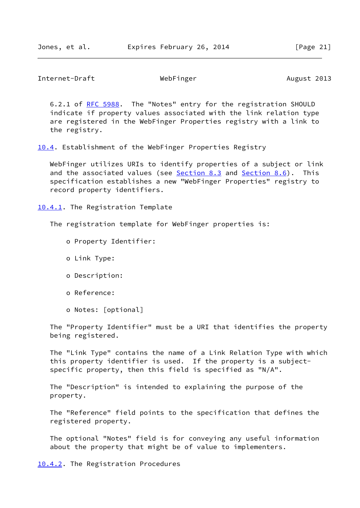<span id="page-25-1"></span>Internet-Draft WebFinger Metal WebFinger August 2013

 6.2.1 of [RFC 5988](https://datatracker.ietf.org/doc/pdf/rfc5988). The "Notes" entry for the registration SHOULD indicate if property values associated with the link relation type are registered in the WebFinger Properties registry with a link to the registry.

<span id="page-25-0"></span>[10.4](#page-25-0). Establishment of the WebFinger Properties Registry

 WebFinger utilizes URIs to identify properties of a subject or link and the associated values (see [Section 8.3](#page-17-2) and [Section 8.6](#page-19-0)). This specification establishes a new "WebFinger Properties" registry to record property identifiers.

<span id="page-25-2"></span>[10.4.1](#page-25-2). The Registration Template

The registration template for WebFinger properties is:

- o Property Identifier:
- o Link Type:
- o Description:
- o Reference:
- o Notes: [optional]

 The "Property Identifier" must be a URI that identifies the property being registered.

 The "Link Type" contains the name of a Link Relation Type with which this property identifier is used. If the property is a subject specific property, then this field is specified as "N/A".

 The "Description" is intended to explaining the purpose of the property.

 The "Reference" field points to the specification that defines the registered property.

 The optional "Notes" field is for conveying any useful information about the property that might be of value to implementers.

<span id="page-25-3"></span>[10.4.2](#page-25-3). The Registration Procedures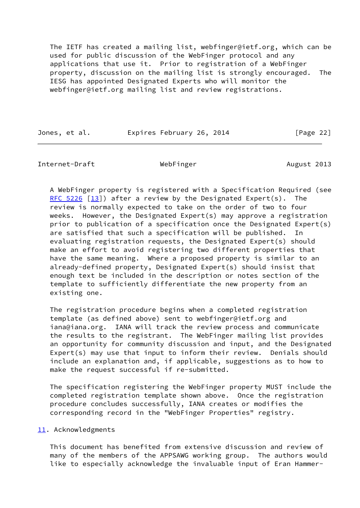The IETF has created a mailing list, webfinger@ietf.org, which can be used for public discussion of the WebFinger protocol and any applications that use it. Prior to registration of a WebFinger property, discussion on the mailing list is strongly encouraged. The IESG has appointed Designated Experts who will monitor the webfinger@ietf.org mailing list and review registrations.

Jones, et al. Expires February 26, 2014 [Page 22]

<span id="page-26-1"></span>Internet-Draft WebFinger Methods Nugust 2013

 A WebFinger property is registered with a Specification Required (see [RFC 5226](https://datatracker.ietf.org/doc/pdf/rfc5226) [\[13\]](#page-28-12)) after a review by the Designated Expert(s). The review is normally expected to take on the order of two to four weeks. However, the Designated Expert(s) may approve a registration prior to publication of a specification once the Designated Expert(s) are satisfied that such a specification will be published. In evaluating registration requests, the Designated Expert(s) should make an effort to avoid registering two different properties that have the same meaning. Where a proposed property is similar to an already-defined property, Designated Expert(s) should insist that enough text be included in the description or notes section of the template to sufficiently differentiate the new property from an existing one.

 The registration procedure begins when a completed registration template (as defined above) sent to webfinger@ietf.org and iana@iana.org. IANA will track the review process and communicate the results to the registrant. The WebFinger mailing list provides an opportunity for community discussion and input, and the Designated Expert(s) may use that input to inform their review. Denials should include an explanation and, if applicable, suggestions as to how to make the request successful if re-submitted.

 The specification registering the WebFinger property MUST include the completed registration template shown above. Once the registration procedure concludes successfully, IANA creates or modifies the corresponding record in the "WebFinger Properties" registry.

# <span id="page-26-0"></span>[11.](#page-26-0) Acknowledgments

 This document has benefited from extensive discussion and review of many of the members of the APPSAWG working group. The authors would like to especially acknowledge the invaluable input of Eran Hammer-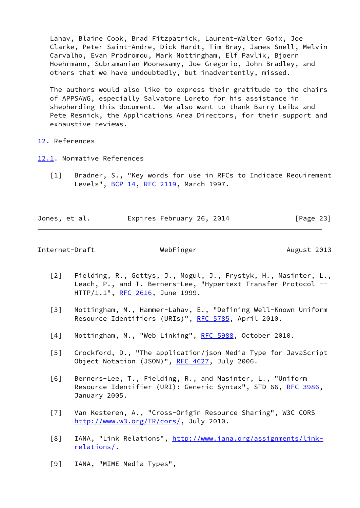Lahav, Blaine Cook, Brad Fitzpatrick, Laurent-Walter Goix, Joe Clarke, Peter Saint-Andre, Dick Hardt, Tim Bray, James Snell, Melvin Carvalho, Evan Prodromou, Mark Nottingham, Elf Pavlik, Bjoern Hoehrmann, Subramanian Moonesamy, Joe Gregorio, John Bradley, and others that we have undoubtedly, but inadvertently, missed.

 The authors would also like to express their gratitude to the chairs of APPSAWG, especially Salvatore Loreto for his assistance in shepherding this document. We also want to thank Barry Leiba and Pete Resnick, the Applications Area Directors, for their support and exhaustive reviews.

<span id="page-27-0"></span>[12.](#page-27-0) References

- <span id="page-27-7"></span><span id="page-27-1"></span>[12.1](#page-27-1). Normative References
	- [1] Bradner, S., "Key words for use in RFCs to Indicate Requirement Levels", [BCP 14](https://datatracker.ietf.org/doc/pdf/bcp14), [RFC 2119,](https://datatracker.ietf.org/doc/pdf/rfc2119) March 1997.

Jones, et al. Expires February 26, 2014 [Page 23]

<span id="page-27-2"></span>Internet-Draft WebFinger Methods August 2013

- <span id="page-27-4"></span> [2] Fielding, R., Gettys, J., Mogul, J., Frystyk, H., Masinter, L., Leach, P., and T. Berners-Lee, "Hypertext Transfer Protocol --HTTP/1.1", [RFC 2616](https://datatracker.ietf.org/doc/pdf/rfc2616), June 1999.
- <span id="page-27-9"></span> [3] Nottingham, M., Hammer-Lahav, E., "Defining Well-Known Uniform Resource Identifiers (URIs)", [RFC 5785,](https://datatracker.ietf.org/doc/pdf/rfc5785) April 2010.
- <span id="page-27-8"></span>[4] Nottingham, M., "Web Linking", [RFC 5988](https://datatracker.ietf.org/doc/pdf/rfc5988), October 2010.
- <span id="page-27-5"></span> [5] Crockford, D., "The application/json Media Type for JavaScript Object Notation (JSON)", [RFC 4627,](https://datatracker.ietf.org/doc/pdf/rfc4627) July 2006.
- <span id="page-27-3"></span> [6] Berners-Lee, T., Fielding, R., and Masinter, L., "Uniform Resource Identifier (URI): Generic Syntax", STD 66, [RFC 3986](https://datatracker.ietf.org/doc/pdf/rfc3986), January 2005.
- <span id="page-27-10"></span> [7] Van Kesteren, A., "Cross-Origin Resource Sharing", W3C CORS [http://www.w3.org/TR/cors/,](http://www.w3.org/TR/cors/) July 2010.
- <span id="page-27-6"></span>[8] IANA, "Link Relations", [http://www.iana.org/assignments/link](http://www.iana.org/assignments/link-relations/) [relations/.](http://www.iana.org/assignments/link-relations/)
- <span id="page-27-11"></span>[9] IANA, "MIME Media Types",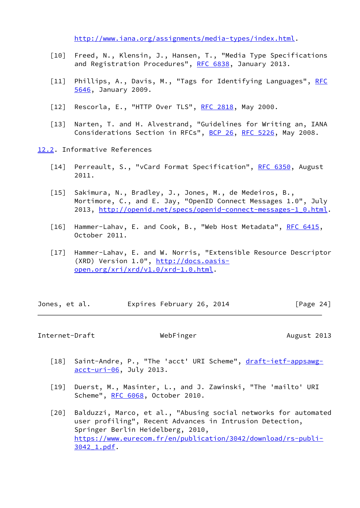<http://www.iana.org/assignments/media-types/index.html>.

- <span id="page-28-7"></span> [10] Freed, N., Klensin, J., Hansen, T., "Media Type Specifications and Registration Procedures", [RFC 6838,](https://datatracker.ietf.org/doc/pdf/rfc6838) January 2013.
- <span id="page-28-8"></span>[11] Phillips, A., Davis, M., "Tags for Identifying Languages", [RFC](https://datatracker.ietf.org/doc/pdf/rfc5646) [5646](https://datatracker.ietf.org/doc/pdf/rfc5646), January 2009.
- <span id="page-28-2"></span>[12] Rescorla, E., "HTTP Over TLS", [RFC 2818](https://datatracker.ietf.org/doc/pdf/rfc2818), May 2000.
- <span id="page-28-12"></span> [13] Narten, T. and H. Alvestrand, "Guidelines for Writing an, IANA Considerations Section in RFCs", [BCP 26](https://datatracker.ietf.org/doc/pdf/bcp26), [RFC 5226,](https://datatracker.ietf.org/doc/pdf/rfc5226) May 2008.
- <span id="page-28-5"></span><span id="page-28-4"></span><span id="page-28-3"></span><span id="page-28-0"></span>[12.2](#page-28-0). Informative References
	- [14] Perreault, S., "vCard Format Specification", [RFC 6350,](https://datatracker.ietf.org/doc/pdf/rfc6350) August 2011.
	- [15] Sakimura, N., Bradley, J., Jones, M., de Medeiros, B., Mortimore, C., and E. Jay, "OpenID Connect Messages 1.0", July 2013, [http://openid.net/specs/openid-connect-messages-1\\_0.html.](http://openid.net/specs/openid-connect-messages-1_0.html)
	- [16] Hammer-Lahav, E. and Cook, B., "Web Host Metadata", [RFC 6415](https://datatracker.ietf.org/doc/pdf/rfc6415), October 2011.
	- [17] Hammer-Lahav, E. and W. Norris, "Extensible Resource Descriptor (XRD) Version 1.0", [http://docs.oasis](http://docs.oasis-open.org/xri/xrd/v1.0/xrd-1.0.html) [open.org/xri/xrd/v1.0/xrd-1.0.html.](http://docs.oasis-open.org/xri/xrd/v1.0/xrd-1.0.html)

<span id="page-28-6"></span>

| Jones, et al. |  |  |  | Expires February 26, 2014 |  |  | [Page 24] |
|---------------|--|--|--|---------------------------|--|--|-----------|
|---------------|--|--|--|---------------------------|--|--|-----------|

<span id="page-28-1"></span>Internet-Draft WebFinger Methods August 2013

- <span id="page-28-9"></span>[18] Saint-Andre, P., "The 'acct' URI Scheme", [draft-ietf-appsawg](https://datatracker.ietf.org/doc/pdf/draft-ietf-appsawg-acct-uri-06) [acct-uri-06](https://datatracker.ietf.org/doc/pdf/draft-ietf-appsawg-acct-uri-06), July 2013.
- <span id="page-28-10"></span> [19] Duerst, M., Masinter, L., and J. Zawinski, "The 'mailto' URI Scheme", [RFC 6068,](https://datatracker.ietf.org/doc/pdf/rfc6068) October 2010.
- <span id="page-28-11"></span>[20] Balduzzi, Marco, et al., "Abusing social networks for automated user profiling", Recent Advances in Intrusion Detection, Springer Berlin Heidelberg, 2010, [https://www.eurecom.fr/en/publication/3042/download/rs-publi-](https://www.eurecom.fr/en/publication/3042/download/rs-publi-3042_1.pdf) [3042\\_1.pdf.](https://www.eurecom.fr/en/publication/3042/download/rs-publi-3042_1.pdf)